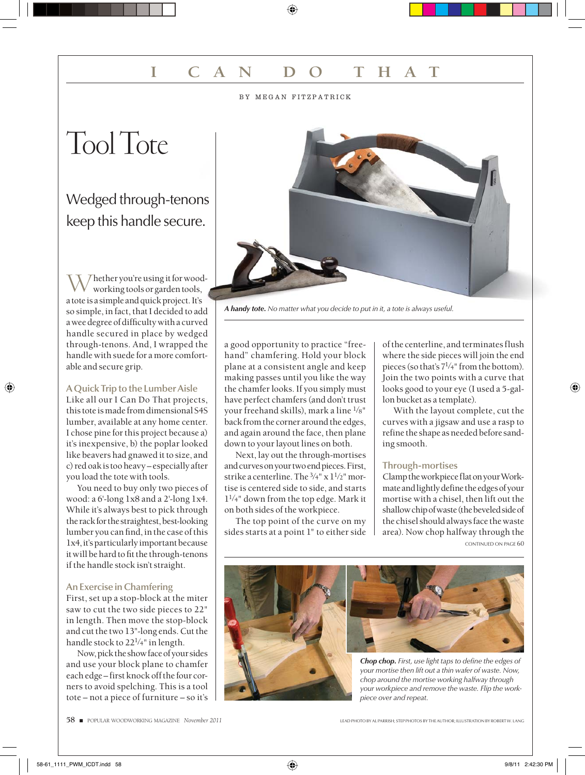# **I CAN DO THAT**

## BY MEGAN FITZPATRICK

# Tool Tote

## Wedged through-tenons keep this handle secure.

Whether you're using it for wood-<br>working tools or garden tools, a tote is a simple and quick project. It's so simple, in fact, that I decided to add a wee degree of difficulty with a curved handle secured in place by wedged through-tenons. And, I wrapped the handle with suede for a more comfortable and secure grip.

## **A Quick Trip to the Lumber Aisle**

Like all our I Can Do That projects, this tote is made from dimensional S4S lumber, available at any home center. I chose pine for this project because a) it's inexpensive, b) the poplar looked like beavers had gnawed it to size, and c) red oak is too heavy – especially after you load the tote with tools.

You need to buy only two pieces of wood: a 6'-long 1x8 and a 2'-long 1x4. While it's always best to pick through the rack for the straightest, best-looking lumber you can find, in the case of this 1x4, it's particularly important because it will be hard to fit the through-tenons if the handle stock isn't straight.

## **An Exercise in Chamfering**

First, set up a stop-block at the miter saw to cut the two side pieces to 22" in length. Then move the stop-block and cut the two 13"-long ends. Cut the handle stock to  $22^{1/4}$ " in length.

Now, pick the show face of your sides and use your block plane to chamfer each edge – first knock off the four corners to avoid spelching. This is a tool tote – not a piece of furniture – so it's



*A handy tote. No matter what you decide to put in it, a tote is always useful.*

a good opportunity to practice "freehand" chamfering. Hold your block plane at a consistent angle and keep making passes until you like the way the chamfer looks. If you simply must have perfect chamfers (and don't trust your freehand skills), mark a line 1⁄8" back from the corner around the edges, and again around the face, then plane down to your layout lines on both.

Next, lay out the through-mortises and curves on your two end pieces. First, strike a centerline. The  $\frac{3}{4}$ " x  $\frac{1}{2}$ " mortise is centered side to side, and starts  $1^{1/4}$ " down from the top edge. Mark it on both sides of the workpiece.

The top point of the curve on my sides starts at a point 1" to either side of the centerline, and terminates flush where the side pieces will join the end pieces (so that's  $7^{1/4}$ " from the bottom). Join the two points with a curve that looks good to your eye (I used a 5-gallon bucket as a template).

With the layout complete, cut the curves with a jigsaw and use a rasp to refine the shape as needed before sanding smooth.

## **Through-mortises**

Clamp the workpiece flat on your Workmate and lightly define the edges of your mortise with a chisel, then lift out the shallow chip of waste (the beveled side of the chisel should always face the waste area). Now chop halfway through the CONTINUED ON PAGE 60





**Chop chop.** First, use light taps to define the edges of *your mortise then lift out a thin wafer of waste. Now, chop around the mortise working halfway through your workpiece and remove the waste. Flip the workpiece over and repeat.*